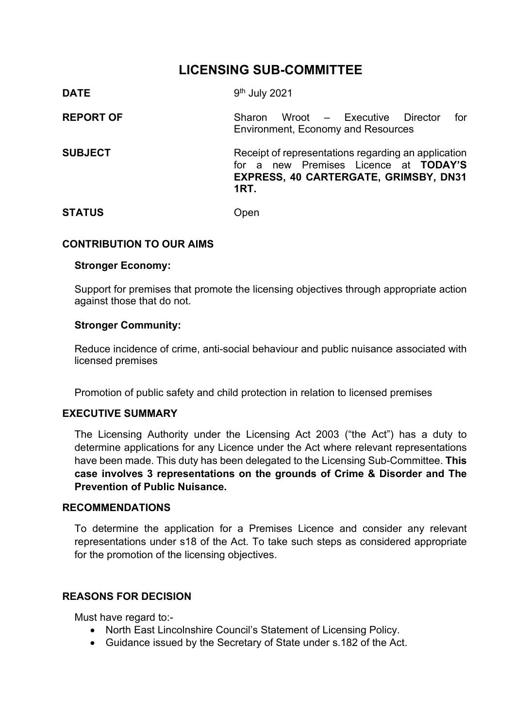## **LICENSING SUB-COMMITTEE**

| <b>DATE</b>      | 9 <sup>th</sup> July 2021                                                                                                                            |
|------------------|------------------------------------------------------------------------------------------------------------------------------------------------------|
| <b>REPORT OF</b> | Wroot – Executive Director<br>for<br><b>Sharon</b><br><b>Environment, Economy and Resources</b>                                                      |
| <b>SUBJECT</b>   | Receipt of representations regarding an application<br>for a new Premises Licence at TODAY'S<br>EXPRESS, 40 CARTERGATE, GRIMSBY, DN31<br><b>1RT.</b> |
| <b>STATUS</b>    | Jpen                                                                                                                                                 |

#### **CONTRIBUTION TO OUR AIMS**

#### **Stronger Economy:**

Support for premises that promote the licensing objectives through appropriate action against those that do not.

#### **Stronger Community:**

Reduce incidence of crime, anti-social behaviour and public nuisance associated with licensed premises

Promotion of public safety and child protection in relation to licensed premises

## **EXECUTIVE SUMMARY**

The Licensing Authority under the Licensing Act 2003 ("the Act") has a duty to determine applications for any Licence under the Act where relevant representations have been made. This duty has been delegated to the Licensing Sub-Committee. **This case involves 3 representations on the grounds of Crime & Disorder and The Prevention of Public Nuisance.**

#### **RECOMMENDATIONS**

To determine the application for a Premises Licence and consider any relevant representations under s18 of the Act. To take such steps as considered appropriate for the promotion of the licensing objectives.

#### **REASONS FOR DECISION**

Must have regard to:-

- North East Lincolnshire Council's Statement of Licensing Policy.
- Guidance issued by the Secretary of State under s.182 of the Act.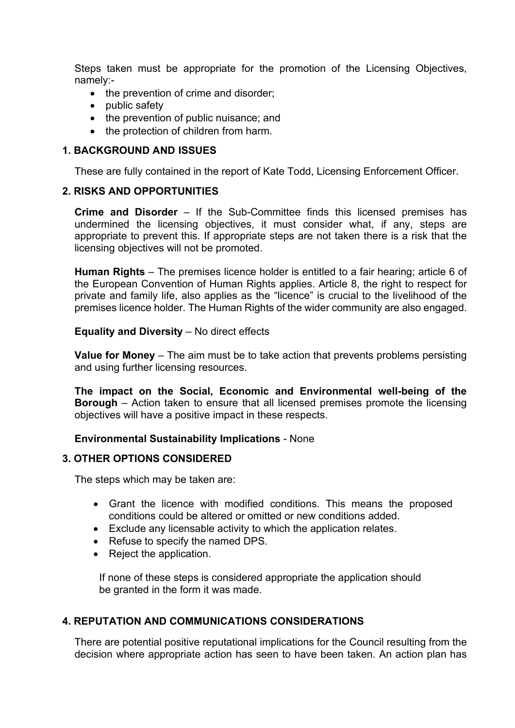Steps taken must be appropriate for the promotion of the Licensing Objectives, namely:-

- the prevention of crime and disorder;
- public safety
- the prevention of public nuisance; and
- the protection of children from harm.

#### **1. BACKGROUND AND ISSUES**

These are fully contained in the report of Kate Todd, Licensing Enforcement Officer.

#### **2. RISKS AND OPPORTUNITIES**

**Crime and Disorder** – If the Sub-Committee finds this licensed premises has undermined the licensing objectives, it must consider what, if any, steps are appropriate to prevent this. If appropriate steps are not taken there is a risk that the licensing objectives will not be promoted.

**Human Rights** – The premises licence holder is entitled to a fair hearing; article 6 of the European Convention of Human Rights applies. Article 8, the right to respect for private and family life, also applies as the "licence" is crucial to the livelihood of the premises licence holder. The Human Rights of the wider community are also engaged.

**Equality and Diversity** – No direct effects

**Value for Money** – The aim must be to take action that prevents problems persisting and using further licensing resources.

**The impact on the Social, Economic and Environmental well-being of the Borough** – Action taken to ensure that all licensed premises promote the licensing objectives will have a positive impact in these respects.

#### **Environmental Sustainability Implications** - None

#### **3. OTHER OPTIONS CONSIDERED**

The steps which may be taken are:

- Grant the licence with modified conditions. This means the proposed conditions could be altered or omitted or new conditions added.
- Exclude any licensable activity to which the application relates.
- Refuse to specify the named DPS.
- Reject the application.

 If none of these steps is considered appropriate the application should be granted in the form it was made.

## **4. REPUTATION AND COMMUNICATIONS CONSIDERATIONS**

There are potential positive reputational implications for the Council resulting from the decision where appropriate action has seen to have been taken. An action plan has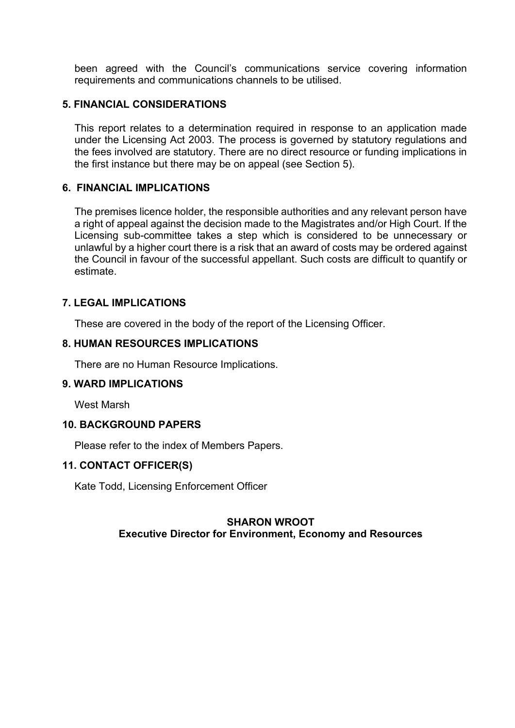been agreed with the Council's communications service covering information requirements and communications channels to be utilised.

#### **5. FINANCIAL CONSIDERATIONS**

This report relates to a determination required in response to an application made under the Licensing Act 2003. The process is governed by statutory regulations and the fees involved are statutory. There are no direct resource or funding implications in the first instance but there may be on appeal (see Section 5).

#### **6. FINANCIAL IMPLICATIONS**

The premises licence holder, the responsible authorities and any relevant person have a right of appeal against the decision made to the Magistrates and/or High Court. If the Licensing sub-committee takes a step which is considered to be unnecessary or unlawful by a higher court there is a risk that an award of costs may be ordered against the Council in favour of the successful appellant. Such costs are difficult to quantify or estimate.

#### **7. LEGAL IMPLICATIONS**

These are covered in the body of the report of the Licensing Officer.

#### **8. HUMAN RESOURCES IMPLICATIONS**

There are no Human Resource Implications.

#### **9. WARD IMPLICATIONS**

West Marsh

#### **10. BACKGROUND PAPERS**

Please refer to the index of Members Papers.

#### **11. CONTACT OFFICER(S)**

Kate Todd, Licensing Enforcement Officer

#### **SHARON WROOT Executive Director for Environment, Economy and Resources**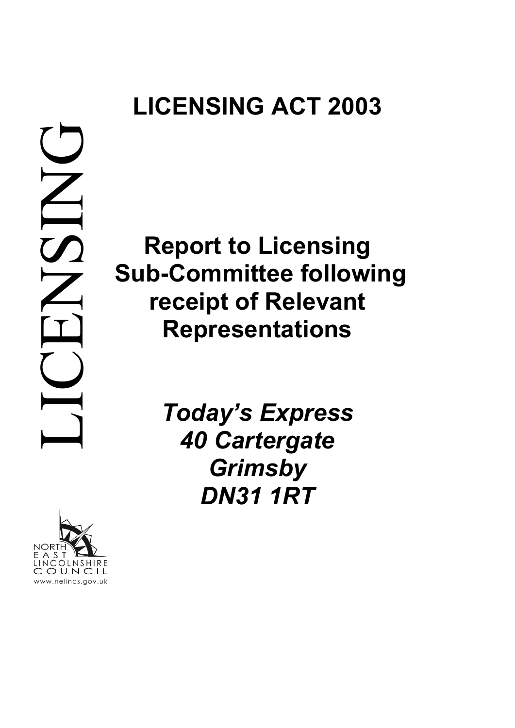# **LICENSING ACT 2003**



OLNSHIRE

OUNCIL www.nelincs.gov.uk

**Report to Licensing Sub-Committee following receipt of Relevant Representations**

> *Today's Express 40 Cartergate Grimsby DN31 1RT*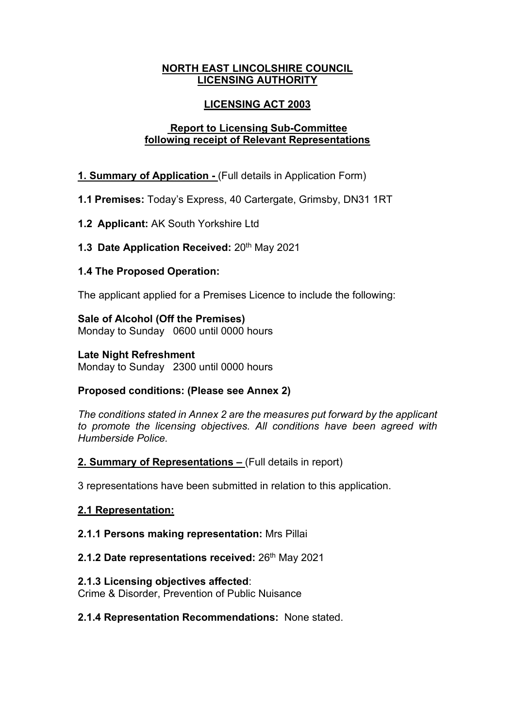#### **NORTH EAST LINCOLSHIRE COUNCIL LICENSING AUTHORITY**

## **LICENSING ACT 2003**

## **Report to Licensing Sub-Committee following receipt of Relevant Representations**

## **1. Summary of Application -** (Full details in Application Form)

**1.1 Premises:** Today's Express, 40 Cartergate, Grimsby, DN31 1RT

**1.2 Applicant:** AK South Yorkshire Ltd

## **1.3 Date Application Received: 20th May 2021**

## **1.4 The Proposed Operation:**

The applicant applied for a Premises Licence to include the following:

**Sale of Alcohol (Off the Premises)** Monday to Sunday 0600 until 0000 hours

## **Late Night Refreshment**

Monday to Sunday 2300 until 0000 hours

## **Proposed conditions: (Please see Annex 2)**

*The conditions stated in Annex 2 are the measures put forward by the applicant to promote the licensing objectives. All conditions have been agreed with Humberside Police.*

## **2. Summary of Representations –** (Full details in report)

3 representations have been submitted in relation to this application.

## **2.1 Representation:**

## **2.1.1 Persons making representation:** Mrs Pillai

## **2.1.2 Date representations received: 26th May 2021**

## **2.1.3 Licensing objectives affected**:

Crime & Disorder, Prevention of Public Nuisance

## **2.1.4 Representation Recommendations:** None stated.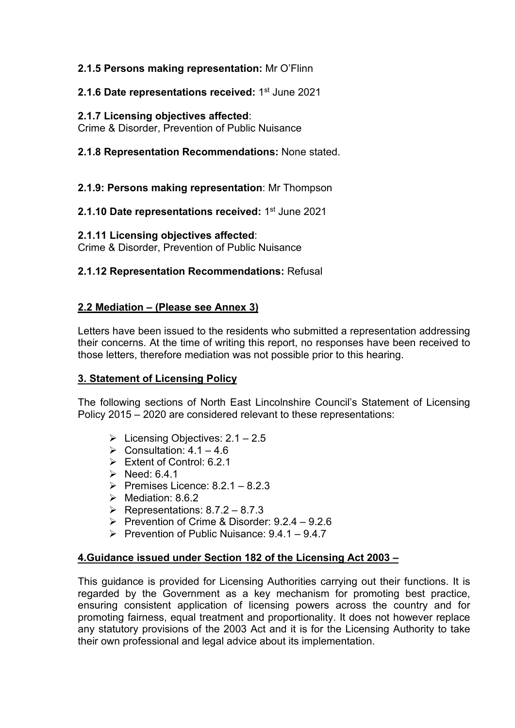## **2.1.5 Persons making representation:** Mr O'Flinn

## **2.1.6 Date representations received:** 1<sup>st</sup> June 2021

## **2.1.7 Licensing objectives affected**:

Crime & Disorder, Prevention of Public Nuisance

**2.1.8 Representation Recommendations:** None stated.

**2.1.9: Persons making representation**: Mr Thompson

**2.1.10 Date representations received:** 1st June 2021

#### **2.1.11 Licensing objectives affected**:

Crime & Disorder, Prevention of Public Nuisance

## **2.1.12 Representation Recommendations:** Refusal

## **2.2 Mediation – (Please see Annex 3)**

Letters have been issued to the residents who submitted a representation addressing their concerns. At the time of writing this report, no responses have been received to those letters, therefore mediation was not possible prior to this hearing.

## **3. Statement of Licensing Policy**

The following sections of North East Lincolnshire Council's Statement of Licensing Policy 2015 – 2020 are considered relevant to these representations:

- $\triangleright$  Licensing Objectives: 2.1 2.5
- $\triangleright$  Consultation: 4.1 4.6
- $\triangleright$  Extent of Control: 6.2.1
- $\triangleright$  Need: 6.4.1
- Premises Licence:  $8.2.1 8.2.3$
- $\triangleright$  Mediation: 8.6.2
- $\triangleright$  Representations: 8.7.2 8.7.3
- $\triangleright$  Prevention of Crime & Disorder: 9.2.4 9.2.6
- Prevention of Public Nuisance:  $9.4.1 9.4.7$

## **4.Guidance issued under Section 182 of the Licensing Act 2003 –**

This guidance is provided for Licensing Authorities carrying out their functions. It is regarded by the Government as a key mechanism for promoting best practice, ensuring consistent application of licensing powers across the country and for promoting fairness, equal treatment and proportionality. It does not however replace any statutory provisions of the 2003 Act and it is for the Licensing Authority to take their own professional and legal advice about its implementation.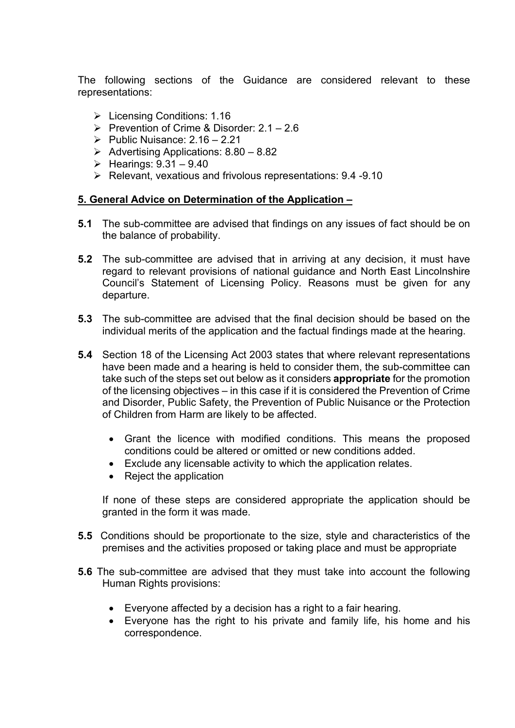The following sections of the Guidance are considered relevant to these representations:

- $\triangleright$  Licensing Conditions: 1.16
- Prevention of Crime & Disorder:  $2.1 2.6$
- Public Nuisance:  $2.16 2.21$
- Advertising Applications:  $8.80 8.82$
- $\blacktriangleright$  Hearings:  $9.31 9.40$
- $\triangleright$  Relevant, vexatious and frivolous representations: 9.4 -9.10

#### **5. General Advice on Determination of the Application –**

- **5.1** The sub-committee are advised that findings on any issues of fact should be on the balance of probability.
- **5.2** The sub-committee are advised that in arriving at any decision, it must have regard to relevant provisions of national guidance and North East Lincolnshire Council's Statement of Licensing Policy. Reasons must be given for any departure.
- **5.3** The sub-committee are advised that the final decision should be based on the individual merits of the application and the factual findings made at the hearing.
- **5.4** Section 18 of the Licensing Act 2003 states that where relevant representations have been made and a hearing is held to consider them, the sub-committee can take such of the steps set out below as it considers **appropriate** for the promotion of the licensing objectives – in this case if it is considered the Prevention of Crime and Disorder, Public Safety, the Prevention of Public Nuisance or the Protection of Children from Harm are likely to be affected.
	- Grant the licence with modified conditions. This means the proposed conditions could be altered or omitted or new conditions added.
	- Exclude any licensable activity to which the application relates.
	- Reject the application

If none of these steps are considered appropriate the application should be granted in the form it was made.

- **5.5** Conditions should be proportionate to the size, style and characteristics of the premises and the activities proposed or taking place and must be appropriate
- **5.6** The sub-committee are advised that they must take into account the following Human Rights provisions:
	- Everyone affected by a decision has a right to a fair hearing.
	- Everyone has the right to his private and family life, his home and his correspondence.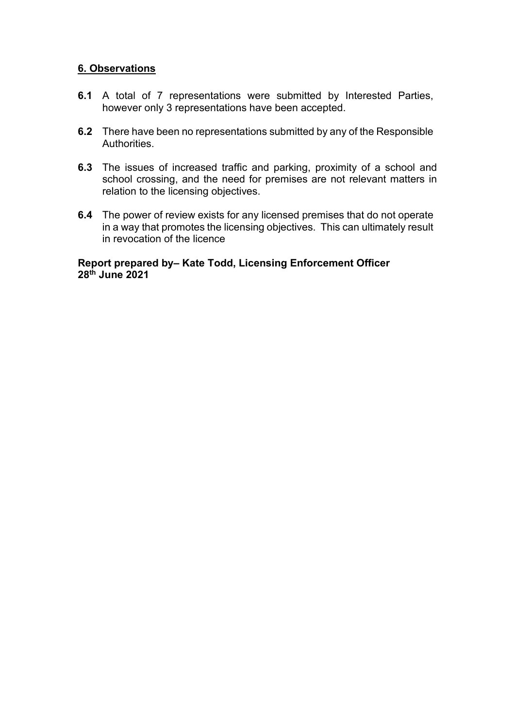#### **6. Observations**

- **6.1** A total of 7 representations were submitted by Interested Parties, however only 3 representations have been accepted.
- **6.2** There have been no representations submitted by any of the Responsible Authorities.
- **6.3** The issues of increased traffic and parking, proximity of a school and school crossing, and the need for premises are not relevant matters in relation to the licensing objectives.
- **6.4** The power of review exists for any licensed premises that do not operate in a way that promotes the licensing objectives. This can ultimately result in revocation of the licence

#### **Report prepared by– Kate Todd, Licensing Enforcement Officer 28th June 2021**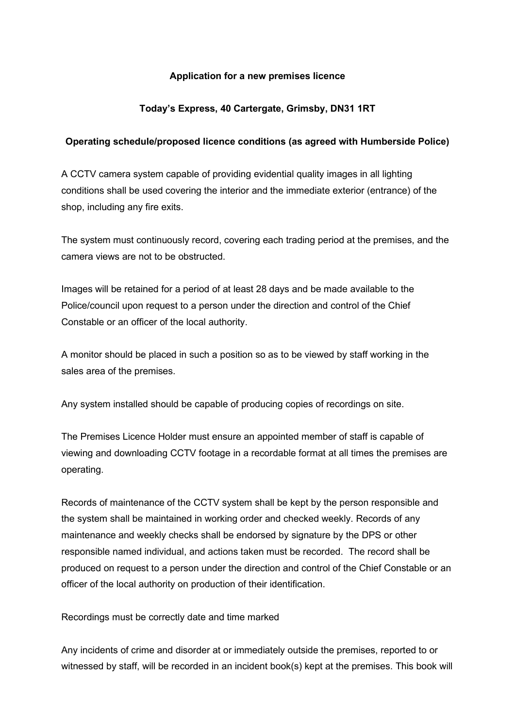#### **Application for a new premises licence**

#### **Today's Express, 40 Cartergate, Grimsby, DN31 1RT**

#### **Operating schedule/proposed licence conditions (as agreed with Humberside Police)**

A CCTV camera system capable of providing evidential quality images in all lighting conditions shall be used covering the interior and the immediate exterior (entrance) of the shop, including any fire exits.

The system must continuously record, covering each trading period at the premises, and the camera views are not to be obstructed.

Images will be retained for a period of at least 28 days and be made available to the Police/council upon request to a person under the direction and control of the Chief Constable or an officer of the local authority.

A monitor should be placed in such a position so as to be viewed by staff working in the sales area of the premises.

Any system installed should be capable of producing copies of recordings on site.

The Premises Licence Holder must ensure an appointed member of staff is capable of viewing and downloading CCTV footage in a recordable format at all times the premises are operating.

Records of maintenance of the CCTV system shall be kept by the person responsible and the system shall be maintained in working order and checked weekly. Records of any maintenance and weekly checks shall be endorsed by signature by the DPS or other responsible named individual, and actions taken must be recorded. The record shall be produced on request to a person under the direction and control of the Chief Constable or an officer of the local authority on production of their identification.

Recordings must be correctly date and time marked

Any incidents of crime and disorder at or immediately outside the premises, reported to or witnessed by staff, will be recorded in an incident book(s) kept at the premises. This book will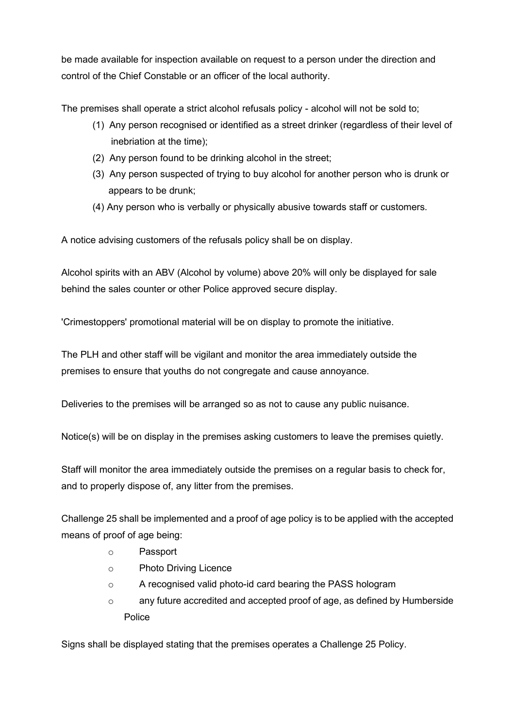be made available for inspection available on request to a person under the direction and control of the Chief Constable or an officer of the local authority.

The premises shall operate a strict alcohol refusals policy - alcohol will not be sold to;

- (1) Any person recognised or identified as a street drinker (regardless of their level of inebriation at the time);
- (2) Any person found to be drinking alcohol in the street;
- (3) Any person suspected of trying to buy alcohol for another person who is drunk or appears to be drunk;
- (4) Any person who is verbally or physically abusive towards staff or customers.

A notice advising customers of the refusals policy shall be on display.

Alcohol spirits with an ABV (Alcohol by volume) above 20% will only be displayed for sale behind the sales counter or other Police approved secure display.

'Crimestoppers' promotional material will be on display to promote the initiative.

The PLH and other staff will be vigilant and monitor the area immediately outside the premises to ensure that youths do not congregate and cause annoyance.

Deliveries to the premises will be arranged so as not to cause any public nuisance.

Notice(s) will be on display in the premises asking customers to leave the premises quietly.

Staff will monitor the area immediately outside the premises on a regular basis to check for, and to properly dispose of, any litter from the premises.

Challenge 25 shall be implemented and a proof of age policy is to be applied with the accepted means of proof of age being:

- o Passport
- o Photo Driving Licence
- o A recognised valid photo-id card bearing the PASS hologram
- $\circ$  any future accredited and accepted proof of age, as defined by Humberside Police

Signs shall be displayed stating that the premises operates a Challenge 25 Policy.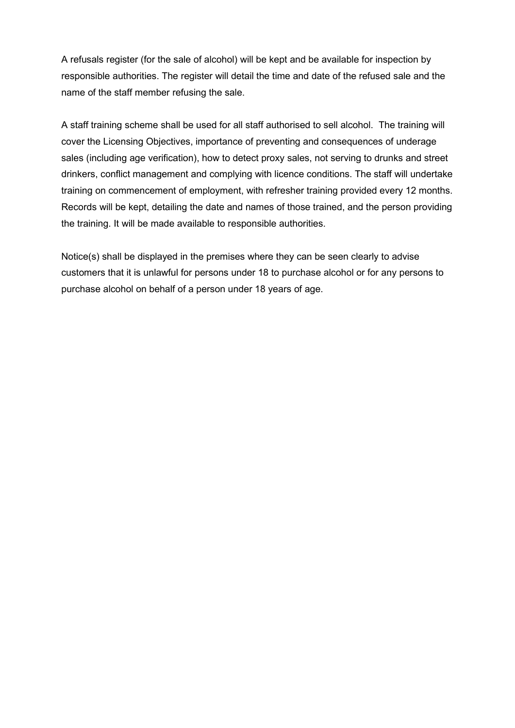A refusals register (for the sale of alcohol) will be kept and be available for inspection by responsible authorities. The register will detail the time and date of the refused sale and the name of the staff member refusing the sale.

A staff training scheme shall be used for all staff authorised to sell alcohol. The training will cover the Licensing Objectives, importance of preventing and consequences of underage sales (including age verification), how to detect proxy sales, not serving to drunks and street drinkers, conflict management and complying with licence conditions. The staff will undertake training on commencement of employment, with refresher training provided every 12 months. Records will be kept, detailing the date and names of those trained, and the person providing the training. It will be made available to responsible authorities.

Notice(s) shall be displayed in the premises where they can be seen clearly to advise customers that it is unlawful for persons under 18 to purchase alcohol or for any persons to purchase alcohol on behalf of a person under 18 years of age.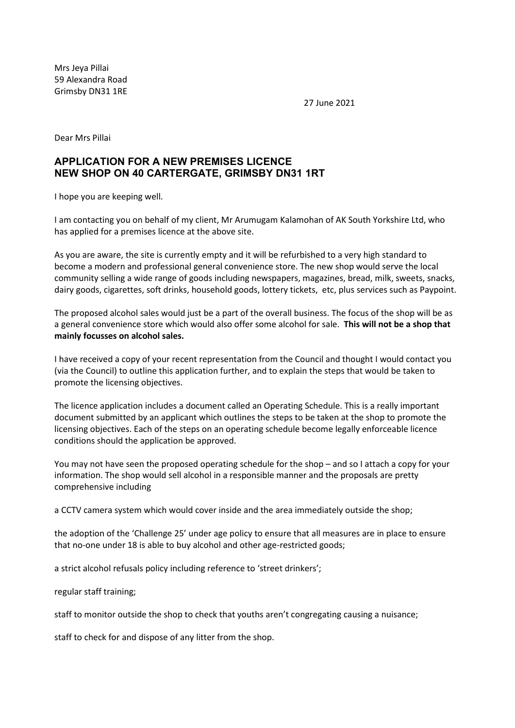Mrs Jeya Pillai 59 Alexandra Road Grimsby DN31 1RE

27 June 2021

Dear Mrs Pillai

#### **APPLICATION FOR A NEW PREMISES LICENCE NEW SHOP ON 40 CARTERGATE, GRIMSBY DN31 1RT**

I hope you are keeping well.

I am contacting you on behalf of my client, Mr Arumugam Kalamohan of AK South Yorkshire Ltd, who has applied for a premises licence at the above site.

As you are aware, the site is currently empty and it will be refurbished to a very high standard to become a modern and professional general convenience store. The new shop would serve the local community selling a wide range of goods including newspapers, magazines, bread, milk, sweets, snacks, dairy goods, cigarettes, soft drinks, household goods, lottery tickets, etc, plus services such as Paypoint.

The proposed alcohol sales would just be a part of the overall business. The focus of the shop will be as a general convenience store which would also offer some alcohol for sale. **This will not be a shop that mainly focusses on alcohol sales.** 

I have received a copy of your recent representation from the Council and thought I would contact you (via the Council) to outline this application further, and to explain the steps that would be taken to promote the licensing objectives.

The licence application includes a document called an Operating Schedule. This is a really important document submitted by an applicant which outlines the steps to be taken at the shop to promote the licensing objectives. Each of the steps on an operating schedule become legally enforceable licence conditions should the application be approved.

You may not have seen the proposed operating schedule for the shop – and so I attach a copy for your information. The shop would sell alcohol in a responsible manner and the proposals are pretty comprehensive including

a CCTV camera system which would cover inside and the area immediately outside the shop;

the adoption of the 'Challenge 25' under age policy to ensure that all measures are in place to ensure that no-one under 18 is able to buy alcohol and other age-restricted goods;

a strict alcohol refusals policy including reference to 'street drinkers';

regular staff training;

staff to monitor outside the shop to check that youths aren't congregating causing a nuisance;

staff to check for and dispose of any litter from the shop.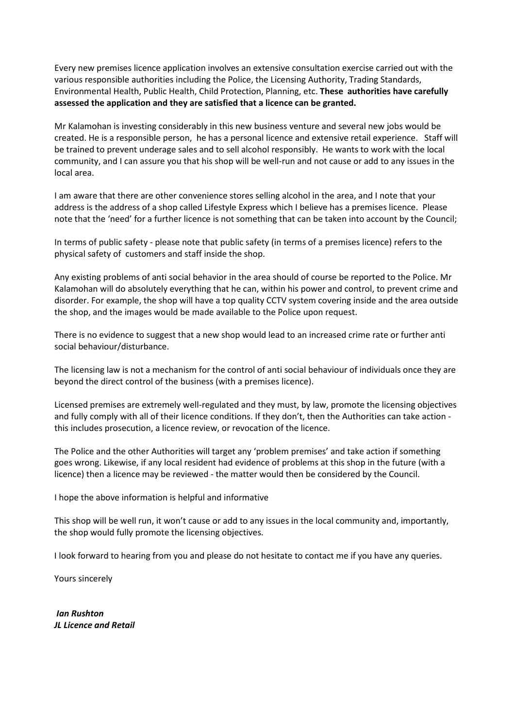Every new premises licence application involves an extensive consultation exercise carried out with the various responsible authorities including the Police, the Licensing Authority, Trading Standards, Environmental Health, Public Health, Child Protection, Planning, etc. **These authorities have carefully assessed the application and they are satisfied that a licence can be granted.**

Mr Kalamohan is investing considerably in this new business venture and several new jobs would be created. He is a responsible person, he has a personal licence and extensive retail experience. Staff will be trained to prevent underage sales and to sell alcohol responsibly. He wants to work with the local community, and I can assure you that his shop will be well-run and not cause or add to any issues in the local area.

I am aware that there are other convenience stores selling alcohol in the area, and I note that your address is the address of a shop called Lifestyle Express which I believe has a premises licence. Please note that the 'need' for a further licence is not something that can be taken into account by the Council;

In terms of public safety - please note that public safety (in terms of a premises licence) refers to the physical safety of customers and staff inside the shop.

Any existing problems of anti social behavior in the area should of course be reported to the Police. Mr Kalamohan will do absolutely everything that he can, within his power and control, to prevent crime and disorder. For example, the shop will have a top quality CCTV system covering inside and the area outside the shop, and the images would be made available to the Police upon request.

There is no evidence to suggest that a new shop would lead to an increased crime rate or further anti social behaviour/disturbance.

The licensing law is not a mechanism for the control of anti social behaviour of individuals once they are beyond the direct control of the business (with a premises licence).

Licensed premises are extremely well-regulated and they must, by law, promote the licensing objectives and fully comply with all of their licence conditions. If they don't, then the Authorities can take action this includes prosecution, a licence review, or revocation of the licence.

The Police and the other Authorities will target any 'problem premises' and take action if something goes wrong. Likewise, if any local resident had evidence of problems at this shop in the future (with a licence) then a licence may be reviewed - the matter would then be considered by the Council.

I hope the above information is helpful and informative

This shop will be well run, it won't cause or add to any issues in the local community and, importantly, the shop would fully promote the licensing objectives.

I look forward to hearing from you and please do not hesitate to contact me if you have any queries.

Yours sincerely

*Ian Rushton JL Licence and Retail*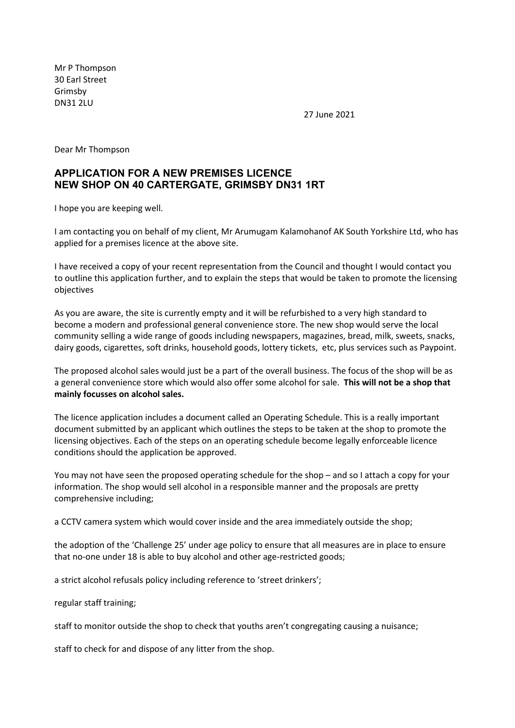Mr P Thompson 30 Earl Street Grimsby DN31 2LU

27 June 2021

Dear Mr Thompson

#### **APPLICATION FOR A NEW PREMISES LICENCE NEW SHOP ON 40 CARTERGATE, GRIMSBY DN31 1RT**

I hope you are keeping well.

I am contacting you on behalf of my client, Mr Arumugam Kalamohanof AK South Yorkshire Ltd, who has applied for a premises licence at the above site.

I have received a copy of your recent representation from the Council and thought I would contact you to outline this application further, and to explain the steps that would be taken to promote the licensing objectives

As you are aware, the site is currently empty and it will be refurbished to a very high standard to become a modern and professional general convenience store. The new shop would serve the local community selling a wide range of goods including newspapers, magazines, bread, milk, sweets, snacks, dairy goods, cigarettes, soft drinks, household goods, lottery tickets, etc, plus services such as Paypoint.

The proposed alcohol sales would just be a part of the overall business. The focus of the shop will be as a general convenience store which would also offer some alcohol for sale. **This will not be a shop that mainly focusses on alcohol sales.** 

The licence application includes a document called an Operating Schedule. This is a really important document submitted by an applicant which outlines the steps to be taken at the shop to promote the licensing objectives. Each of the steps on an operating schedule become legally enforceable licence conditions should the application be approved.

You may not have seen the proposed operating schedule for the shop – and so I attach a copy for your information. The shop would sell alcohol in a responsible manner and the proposals are pretty comprehensive including;

a CCTV camera system which would cover inside and the area immediately outside the shop;

the adoption of the 'Challenge 25' under age policy to ensure that all measures are in place to ensure that no-one under 18 is able to buy alcohol and other age-restricted goods;

a strict alcohol refusals policy including reference to 'street drinkers';

regular staff training;

staff to monitor outside the shop to check that youths aren't congregating causing a nuisance;

staff to check for and dispose of any litter from the shop.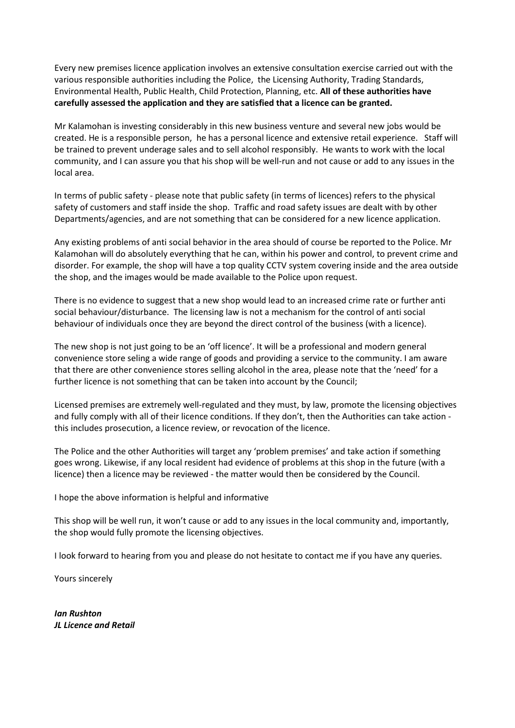Every new premises licence application involves an extensive consultation exercise carried out with the various responsible authorities including the Police, the Licensing Authority, Trading Standards, Environmental Health, Public Health, Child Protection, Planning, etc. **All of these authorities have carefully assessed the application and they are satisfied that a licence can be granted.** 

Mr Kalamohan is investing considerably in this new business venture and several new jobs would be created. He is a responsible person, he has a personal licence and extensive retail experience. Staff will be trained to prevent underage sales and to sell alcohol responsibly. He wants to work with the local community, and I can assure you that his shop will be well-run and not cause or add to any issues in the local area.

In terms of public safety - please note that public safety (in terms of licences) refers to the physical safety of customers and staff inside the shop. Traffic and road safety issues are dealt with by other Departments/agencies, and are not something that can be considered for a new licence application.

Any existing problems of anti social behavior in the area should of course be reported to the Police. Mr Kalamohan will do absolutely everything that he can, within his power and control, to prevent crime and disorder. For example, the shop will have a top quality CCTV system covering inside and the area outside the shop, and the images would be made available to the Police upon request.

There is no evidence to suggest that a new shop would lead to an increased crime rate or further anti social behaviour/disturbance. The licensing law is not a mechanism for the control of anti social behaviour of individuals once they are beyond the direct control of the business (with a licence).

The new shop is not just going to be an 'off licence'. It will be a professional and modern general convenience store seling a wide range of goods and providing a service to the community. I am aware that there are other convenience stores selling alcohol in the area, please note that the 'need' for a further licence is not something that can be taken into account by the Council;

Licensed premises are extremely well-regulated and they must, by law, promote the licensing objectives and fully comply with all of their licence conditions. If they don't, then the Authorities can take action this includes prosecution, a licence review, or revocation of the licence.

The Police and the other Authorities will target any 'problem premises' and take action if something goes wrong. Likewise, if any local resident had evidence of problems at this shop in the future (with a licence) then a licence may be reviewed - the matter would then be considered by the Council.

I hope the above information is helpful and informative

This shop will be well run, it won't cause or add to any issues in the local community and, importantly, the shop would fully promote the licensing objectives.

I look forward to hearing from you and please do not hesitate to contact me if you have any queries.

Yours sincerely

*Ian Rushton JL Licence and Retail*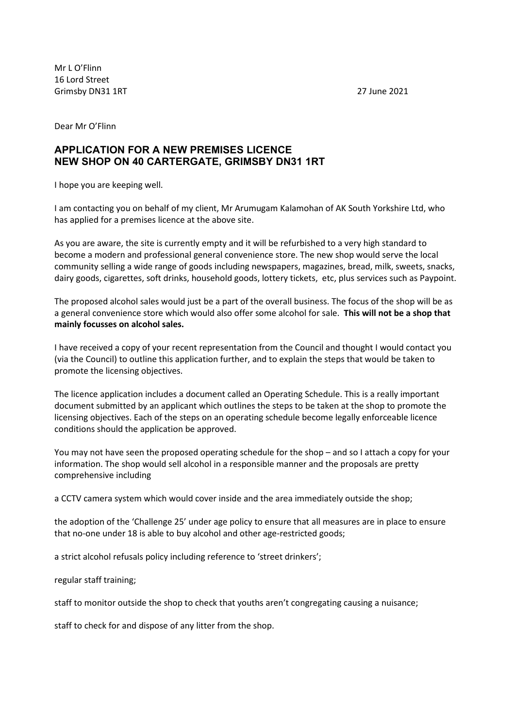Mr L O'Flinn 16 Lord Street Grimsby DN31 1RT 27 June 2021

Dear Mr O'Flinn

#### **APPLICATION FOR A NEW PREMISES LICENCE NEW SHOP ON 40 CARTERGATE, GRIMSBY DN31 1RT**

I hope you are keeping well.

I am contacting you on behalf of my client, Mr Arumugam Kalamohan of AK South Yorkshire Ltd, who has applied for a premises licence at the above site.

As you are aware, the site is currently empty and it will be refurbished to a very high standard to become a modern and professional general convenience store. The new shop would serve the local community selling a wide range of goods including newspapers, magazines, bread, milk, sweets, snacks, dairy goods, cigarettes, soft drinks, household goods, lottery tickets, etc, plus services such as Paypoint.

The proposed alcohol sales would just be a part of the overall business. The focus of the shop will be as a general convenience store which would also offer some alcohol for sale. **This will not be a shop that mainly focusses on alcohol sales.** 

I have received a copy of your recent representation from the Council and thought I would contact you (via the Council) to outline this application further, and to explain the steps that would be taken to promote the licensing objectives.

The licence application includes a document called an Operating Schedule. This is a really important document submitted by an applicant which outlines the steps to be taken at the shop to promote the licensing objectives. Each of the steps on an operating schedule become legally enforceable licence conditions should the application be approved.

You may not have seen the proposed operating schedule for the shop – and so I attach a copy for your information. The shop would sell alcohol in a responsible manner and the proposals are pretty comprehensive including

a CCTV camera system which would cover inside and the area immediately outside the shop;

the adoption of the 'Challenge 25' under age policy to ensure that all measures are in place to ensure that no-one under 18 is able to buy alcohol and other age-restricted goods;

a strict alcohol refusals policy including reference to 'street drinkers';

regular staff training;

staff to monitor outside the shop to check that youths aren't congregating causing a nuisance;

staff to check for and dispose of any litter from the shop.